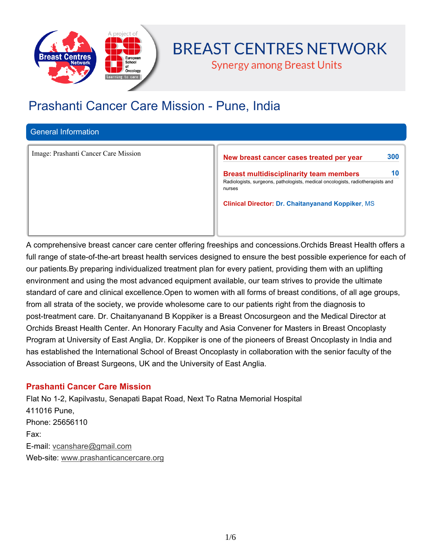

# **BREAST CENTRES NETWORK**

**Synergy among Breast Units** 

## **Prashanti Cancer Care Mission - Pune, India**

## **General Information**

Image: Prashanti Cancer Care Mission **New breast cancer cases treated per year 300** 

**Breast multidisciplinarity team members 10 Radiologists, surgeons, pathologists, medical oncologists, radiotherapists and nurses**

**Clinical Director: Dr. Chaitanyanand Koppiker, MS**

**A comprehensive breast cancer care center offering freeships and concessions.Orchids Breast Health offers a** full range of state-of-the-art breast health services designed to ensure the best possible experience for each of **our patients.By preparing individualized treatment plan for every patient, providing them with an uplifting environment and using the most advanced equipment available, our team strives to provide the ultimate** standard of care and clinical excellence. Open to women with all forms of breast conditions, of all age groups, from all strata of the society, we provide wholesome care to our patients right from the diagnosis to **post-treatment care. Dr. Chaitanyanand B Koppiker is a Breast Oncosurgeon and the Medical Director at Orchids Breast Health Center. An Honorary Faculty and Asia Convener for Masters in Breast Oncoplasty** Program at University of East Anglia, Dr. Koppiker is one of the pioneers of Breast Oncoplasty in India and **has established the International School of Breast Oncoplasty in collaboration with the senior faculty of the Association of Breast Surgeons, UK and the University of East Anglia.**

## **Prashanti Cancer Care Mission**

**Flat No 1-2, Kapilvastu, Senapati Bapat Road, Next To Ratna Memorial Hospital 411016 Pune, Phone: 25656110 Fax: E-mail: vcanshare@gmail.com Web-site: www.prashanticancercare.org**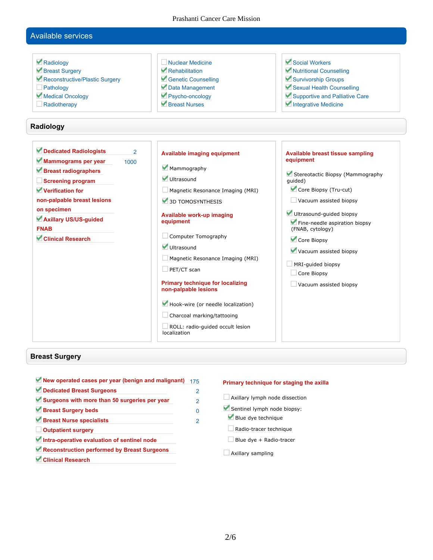Prashanti Cancer Care Mission

## **Available services**



#### **Breast Surgery**

**New operated cases per year (benign and malignant) 175 Dedicated Breast Surgeons 2 Surgeons with more than 50 surgeries per year 2 Breast Surgery beds 0 Breast Nurse specialists 2 Outpatient surgery Intra-operative evaluation of sentinel node Reconstruction performed by Breast Surgeons Clinical Research**

#### **Primary technique for staging the axilla**

**Axillary lymph node dissection Sentinel lymph node biopsy: Blue dye technique Radio-tracer technique Blue dye + Radio-tracer Axillary sampling**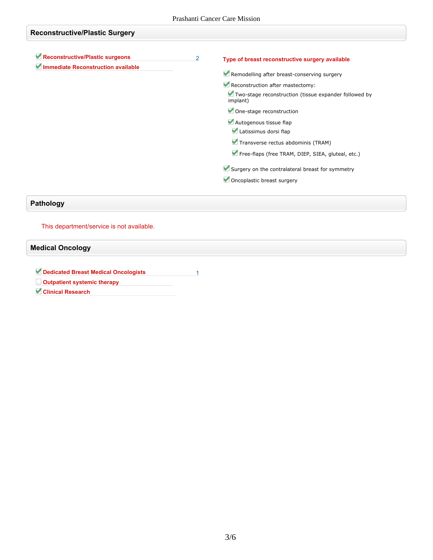| <b>Reconstructive/Plastic Surgery</b>                                 |                |                                                                                                                                                                                                                                                                                        |
|-----------------------------------------------------------------------|----------------|----------------------------------------------------------------------------------------------------------------------------------------------------------------------------------------------------------------------------------------------------------------------------------------|
| Reconstructive/Plastic surgeons<br>Immediate Reconstruction available | $\overline{2}$ | Type of breast reconstructive surgery available<br>Remodelling after breast-conserving surgery<br>Reconstruction after mastectomy:<br>Two-stage reconstruction (tissue expander followed by<br>implant)<br>One-stage reconstruction<br>Autogenous tissue flap<br>Latissimus dorsi flap |
|                                                                       |                | Transverse rectus abdominis (TRAM)<br>Free-flaps (free TRAM, DIEP, SIEA, gluteal, etc.)<br>Surgery on the contralateral breast for symmetry<br>Oncoplastic breast surgery                                                                                                              |
| <b>Pathology</b>                                                      |                |                                                                                                                                                                                                                                                                                        |

**This department/service is not available.**

**Medical Oncology**

**Dedicated Breast Medical Oncologists 1**

**Outpatient systemic therapy**

**Clinical Research**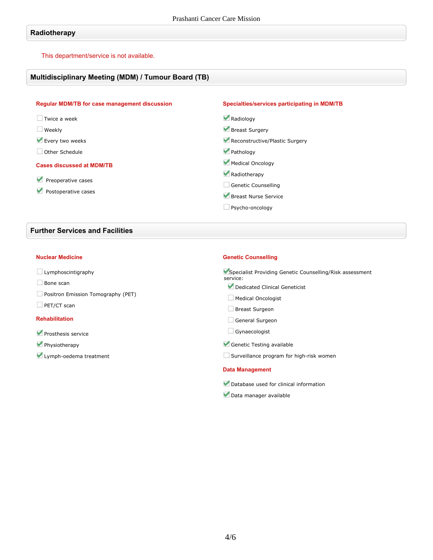### **Radiotherapy**

**This department/service is not available.**

#### **Multidisciplinary Meeting (MDM) / Tumour Board (TB)**

| <b>Regular MDM/TB for case management discussion</b> | Specialties/services participating in MDM/TB |
|------------------------------------------------------|----------------------------------------------|
| $\Box$ Twice a week                                  | Radiology                                    |
| $\Box$ Weekly                                        | Breast Surgery                               |
| Every two weeks                                      | Reconstructive/Plastic Surgery               |
| Other Schedule                                       | Pathology                                    |
| <b>Cases discussed at MDM/TB</b>                     | Medical Oncology                             |
|                                                      | Radiotherapy                                 |
| Preoperative cases                                   | <b>Genetic Counselling</b>                   |
| Postoperative cases                                  | Breast Nurse Service                         |
|                                                      | Psycho-oncology                              |
|                                                      |                                              |

## **Further Services and Facilities**

#### **Nuclear Medicine**

- **Lymphoscintigraphy**
- **Bone scan**
- **Positron Emission Tomography (PET)**
- **PET/CT scan**

#### **Rehabilitation**

- **Prosthesis service**
- **Physiotherapy**
- **Lymph-oedema treatment**

#### **Genetic Counselling**

**Specialist Providing Genetic Counselling/Risk assessment service:**

- **Dedicated Clinical Geneticist**
- **Medical Oncologist**
- **Breast Surgeon**
- **General Surgeon**
- **Gynaecologist**
- **Genetic Testing available**
- **Surveillance program for high-risk women**

#### **Data Management**

- **Database used for clinical information**
- **Data manager available**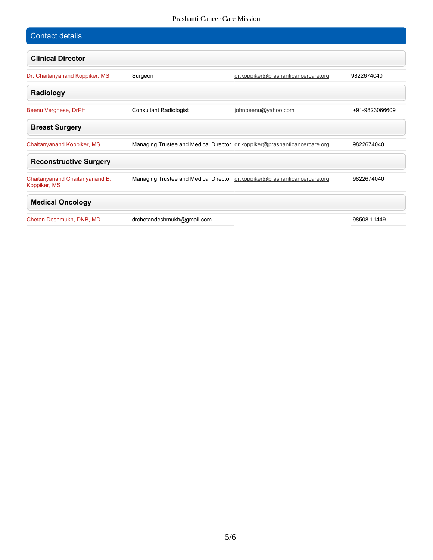#### Prashanti Cancer Care Mission

| <b>Contact details</b>                         |                                                                           |                                     |                |
|------------------------------------------------|---------------------------------------------------------------------------|-------------------------------------|----------------|
| <b>Clinical Director</b>                       |                                                                           |                                     |                |
| Dr. Chaitanyanand Koppiker, MS                 | Surgeon                                                                   | dr.koppiker@prashanticancercare.org | 9822674040     |
| Radiology                                      |                                                                           |                                     |                |
| Beenu Verghese, DrPH                           | <b>Consultant Radiologist</b>                                             | johnbeenu@yahoo.com                 | +91-9823066609 |
| <b>Breast Surgery</b>                          |                                                                           |                                     |                |
| Chaitanyanand Koppiker, MS                     | Managing Trustee and Medical Director dr.koppiker@prashanticancercare.org |                                     | 9822674040     |
| <b>Reconstructive Surgery</b>                  |                                                                           |                                     |                |
| Chaitanyanand Chaitanyanand B.<br>Koppiker, MS | Managing Trustee and Medical Director dr.koppiker@prashanticancercare.org |                                     | 9822674040     |
| <b>Medical Oncology</b>                        |                                                                           |                                     |                |
| Chetan Deshmukh, DNB, MD                       | drchetandeshmukh@gmail.com                                                |                                     | 98508 11449    |